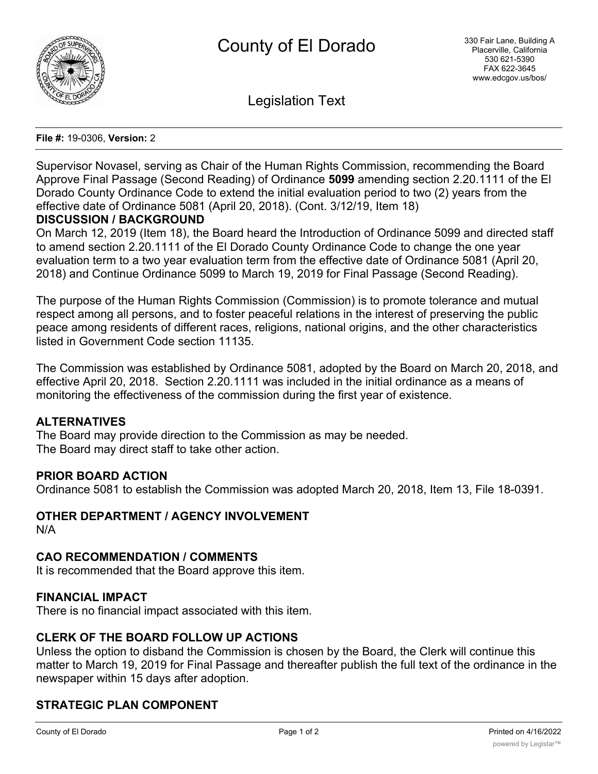

Legislation Text

#### **File #:** 19-0306, **Version:** 2

Supervisor Novasel, serving as Chair of the Human Rights Commission, recommending the Board Approve Final Passage (Second Reading) of Ordinance **5099** amending section 2.20.1111 of the El Dorado County Ordinance Code to extend the initial evaluation period to two (2) years from the effective date of Ordinance 5081 (April 20, 2018). (Cont. 3/12/19, Item 18)

#### **DISCUSSION / BACKGROUND**

On March 12, 2019 (Item 18), the Board heard the Introduction of Ordinance 5099 and directed staff to amend section 2.20.1111 of the El Dorado County Ordinance Code to change the one year evaluation term to a two year evaluation term from the effective date of Ordinance 5081 (April 20, 2018) and Continue Ordinance 5099 to March 19, 2019 for Final Passage (Second Reading).

The purpose of the Human Rights Commission (Commission) is to promote tolerance and mutual respect among all persons, and to foster peaceful relations in the interest of preserving the public peace among residents of different races, religions, national origins, and the other characteristics listed in Government Code section 11135.

The Commission was established by Ordinance 5081, adopted by the Board on March 20, 2018, and effective April 20, 2018. Section 2.20.1111 was included in the initial ordinance as a means of monitoring the effectiveness of the commission during the first year of existence.

## **ALTERNATIVES**

The Board may provide direction to the Commission as may be needed. The Board may direct staff to take other action.

#### **PRIOR BOARD ACTION**

Ordinance 5081 to establish the Commission was adopted March 20, 2018, Item 13, File 18-0391.

## **OTHER DEPARTMENT / AGENCY INVOLVEMENT**

N/A

## **CAO RECOMMENDATION / COMMENTS**

It is recommended that the Board approve this item.

#### **FINANCIAL IMPACT**

There is no financial impact associated with this item.

#### **CLERK OF THE BOARD FOLLOW UP ACTIONS**

Unless the option to disband the Commission is chosen by the Board, the Clerk will continue this matter to March 19, 2019 for Final Passage and thereafter publish the full text of the ordinance in the newspaper within 15 days after adoption.

## **STRATEGIC PLAN COMPONENT**